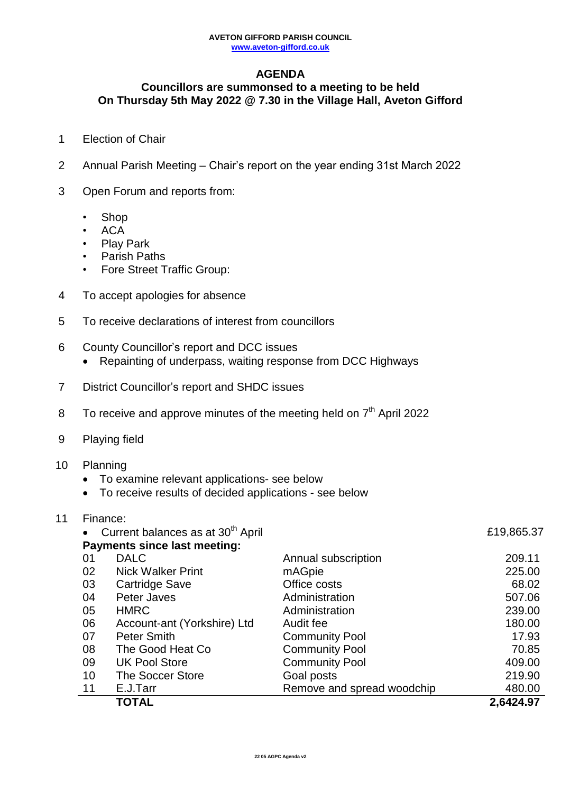# **AGENDA**

# **Councillors are summonsed to a meeting to be held On Thursday 5th May 2022 @ 7.30 in the Village Hall, Aveton Gifford**

- 1 Election of Chair
- 2 Annual Parish Meeting Chair's report on the year ending 31st March 2022
- 3 Open Forum and reports from:
	- Shop
	- ACA
	- Play Park
	- Parish Paths
	- Fore Street Traffic Group:
- 4 To accept apologies for absence
- 5 To receive declarations of interest from councillors
- 6 County Councillor's report and DCC issues
	- Repainting of underpass, waiting response from DCC Highways
- 7 District Councillor's report and SHDC issues
- 8 To receive and approve minutes of the meeting held on  $7<sup>th</sup>$  April 2022
- 9 Playing field

### 10 Planning

- To examine relevant applications- see below
- To receive results of decided applications see below

|    |           | <b>TOTAL</b>                                  |                            | 2,6424.97  |
|----|-----------|-----------------------------------------------|----------------------------|------------|
|    | 11        | E.J.Tarr                                      | Remove and spread woodchip | 480.00     |
|    | 10        | <b>The Soccer Store</b>                       | Goal posts                 | 219.90     |
|    | 09        | <b>UK Pool Store</b>                          | <b>Community Pool</b>      | 409.00     |
|    | 08        | The Good Heat Co                              | <b>Community Pool</b>      | 70.85      |
|    | 07        | <b>Peter Smith</b>                            | <b>Community Pool</b>      | 17.93      |
|    | 06        | Account-ant (Yorkshire) Ltd                   | Audit fee                  | 180.00     |
|    | 05        | <b>HMRC</b>                                   | Administration             | 239.00     |
|    | 04        | Peter Javes                                   | Administration             | 507.06     |
|    | 03        | Cartridge Save                                | Office costs               | 68.02      |
|    | 02        | <b>Nick Walker Print</b>                      | mAGpie                     | 225.00     |
|    | 01        | <b>DALC</b>                                   | Annual subscription        | 209.11     |
|    | $\bullet$ | <b>Payments since last meeting:</b>           |                            |            |
|    |           | Current balances as at 30 <sup>th</sup> April |                            | £19,865.37 |
| 11 | Finance:  |                                               |                            |            |